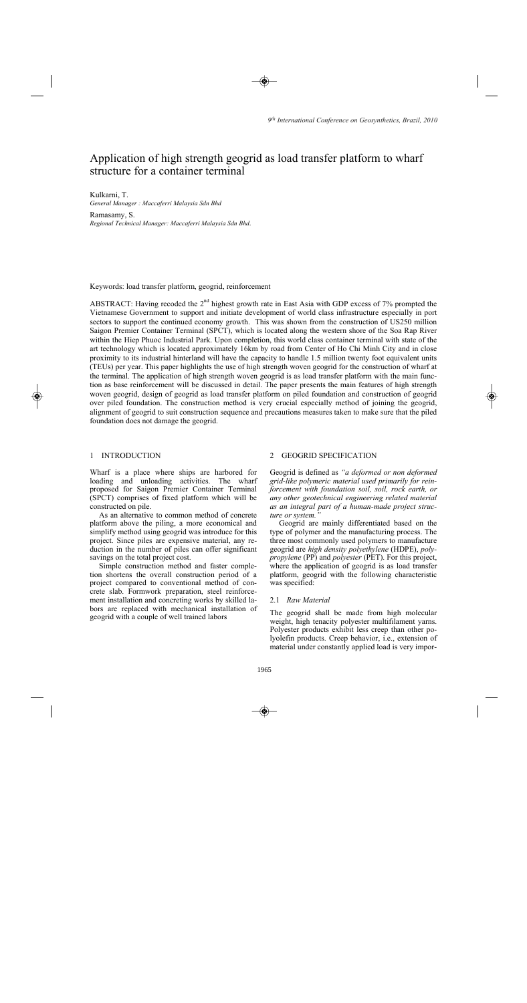# Application of high strength geogrid as load transfer platform to wharf structure for a container terminal

# Kulkarni, T.

*General Manager : Maccaferri Malaysia Sdn Bhd* 

Ramasamy, S. *Regional Technical Manager: Maccaferri Malaysia Sdn Bhd*.

Keywords: load transfer platform, geogrid, reinforcement

ABSTRACT: Having recoded the  $2<sup>nd</sup>$  highest growth rate in East Asia with GDP excess of 7% prompted the Vietnamese Government to support and initiate development of world class infrastructure especially in port sectors to support the continued economy growth. This was shown from the construction of US250 million Saigon Premier Container Terminal (SPCT), which is located along the western shore of the Soa Rap River within the Hiep Phuoc Industrial Park. Upon completion, this world class container terminal with state of the art technology which is located approximately 16km by road from Center of Ho Chi Minh City and in close proximity to its industrial hinterland will have the capacity to handle 1.5 million twenty foot equivalent units (TEUs) per year. This paper highlights the use of high strength woven geogrid for the construction of wharf at the terminal. The application of high strength woven geogrid is as load transfer platform with the main function as base reinforcement will be discussed in detail. The paper presents the main features of high strength woven geogrid, design of geogrid as load transfer platform on piled foundation and construction of geogrid over piled foundation. The construction method is very crucial especially method of joining the geogrid, alignment of geogrid to suit construction sequence and precautions measures taken to make sure that the piled foundation does not damage the geogrid.

# 1 INTRODUCTION

Wharf is a place where ships are harbored for loading and unloading activities. The wharf proposed for Saigon Premier Container Terminal (SPCT) comprises of fixed platform which will be constructed on pile.

As an alternative to common method of concrete platform above the piling, a more economical and simplify method using geogrid was introduce for this project. Since piles are expensive material, any reduction in the number of piles can offer significant savings on the total project cost.

Simple construction method and faster completion shortens the overall construction period of a project compared to conventional method of concrete slab. Formwork preparation, steel reinforcement installation and concreting works by skilled labors are replaced with mechanical installation of geogrid with a couple of well trained labors

# 2 GEOGRID SPECIFICATION

Geogrid is defined as *"a deformed or non deformed grid-like polymeric material used primarily for reinforcement with foundation soil, soil, rock earth, or any other geotechnical engineering related material as an integral part of a human-made project structure or system."* 

Geogrid are mainly differentiated based on the type of polymer and the manufacturing process. The three most commonly used polymers to manufacture geogrid are *high density polyethylene* (HDPE), *polypropylene* (PP) and *polyester* (PET). For this project, where the application of geogrid is as load transfer platform, geogrid with the following characteristic was specified:

### 2.1 *Raw Material*

The geogrid shall be made from high molecular weight, high tenacity polyester multifilament yarns. Polyester products exhibit less creep than other polyolefin products. Creep behavior, i.e., extension of material under constantly applied load is very impor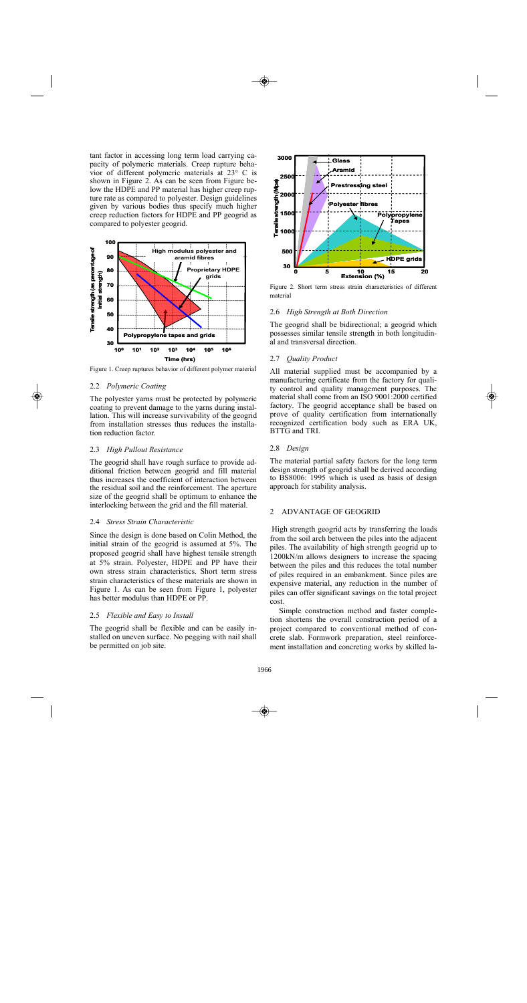tant factor in accessing long term load carrying capacity of polymeric materials. Creep rupture behavior of different polymeric materials at 23° C is shown in Figure 2. As can be seen from Figure below the HDPE and PP material has higher creep rupture rate as compared to polyester. Design guidelines given by various bodies thus specify much higher creep reduction factors for HDPE and PP geogrid as compared to polyester geogrid.



Figure 1. Creep ruptures behavior of different polymer material

### 2.2 *Polymeric Coating*

The polyester yarns must be protected by polymeric coating to prevent damage to the yarns during installation. This will increase survivability of the geogrid from installation stresses thus reduces the installation reduction factor.

#### 2.3 *High Pullout Resistance*

The geogrid shall have rough surface to provide additional friction between geogrid and fill material thus increases the coefficient of interaction between the residual soil and the reinforcement. The aperture size of the geogrid shall be optimum to enhance the interlocking between the grid and the fill material.

#### 2.4 *Stress Strain Characteristic*

Since the design is done based on Colin Method, the initial strain of the geogrid is assumed at 5%. The proposed geogrid shall have highest tensile strength at 5% strain. Polyester, HDPE and PP have their own stress strain characteristics. Short term stress strain characteristics of these materials are shown in Figure 1. As can be seen from Figure 1, polyester has better modulus than HDPE or PP.

#### 2.5 *Flexible and Easy to Install*

The geogrid shall be flexible and can be easily installed on uneven surface. No pegging with nail shall be permitted on job site.



Figure 2. Short term stress strain characteristics of different material

### 2.6 *High Strength at Both Direction*

The geogrid shall be bidirectional; a geogrid which possesses similar tensile strength in both longitudinal and transversal direction.

## 2.7 *Quality Product*

All material supplied must be accompanied by a manufacturing certificate from the factory for quality control and quality management purposes. The material shall come from an ISO 9001:2000 certified factory. The geogrid acceptance shall be based on prove of quality certification from internationally recognized certification body such as ERA UK, BTTG and TRI.

#### 2.8 *Design*

The material partial safety factors for the long term design strength of geogrid shall be derived according to BS8006: 1995 which is used as basis of design approach for stability analysis.

#### 2 ADVANTAGE OF GEOGRID

High strength geogrid acts by transferring the loads from the soil arch between the piles into the adjacent piles. The availability of high strength geogrid up to 1200kN/m allows designers to increase the spacing between the piles and this reduces the total number of piles required in an embankment. Since piles are expensive material, any reduction in the number of piles can offer significant savings on the total project cost.

Simple construction method and faster completion shortens the overall construction period of a project compared to conventional method of concrete slab. Formwork preparation, steel reinforcement installation and concreting works by skilled la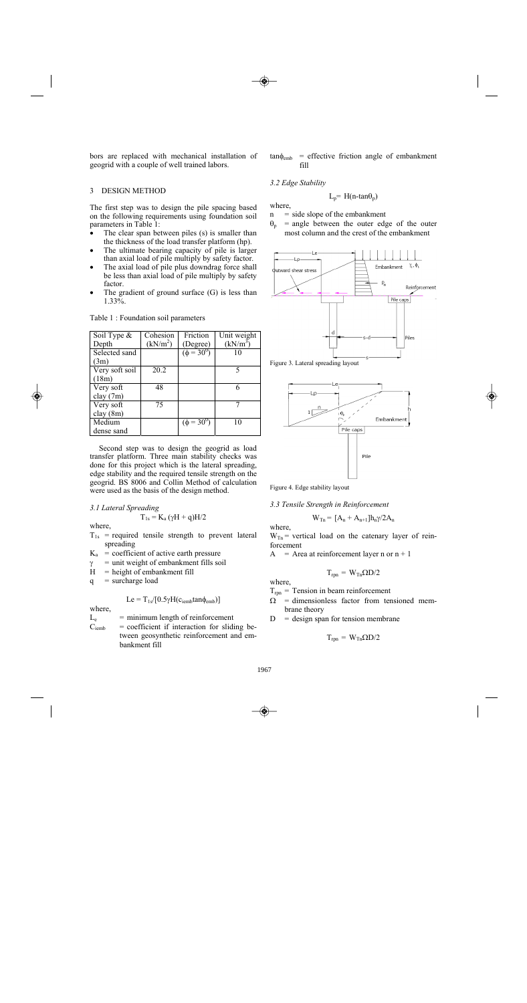bors are replaced with mechanical installation of geogrid with a couple of well trained labors.

# 3 DESIGN METHOD

The first step was to design the pile spacing based on the following requirements using foundation soil parameters in Table 1:

- The clear span between piles (s) is smaller than the thickness of the load transfer platform (hp).
- The ultimate bearing capacity of pile is larger than axial load of pile multiply by safety factor.
- The axial load of pile plus downdrag force shall be less than axial load of pile multiply by safety factor.
- The gradient of ground surface  $(G)$  is less than 1.33%.

| Soil Type &    | Cohesion             | Friction        | Unit weight |
|----------------|----------------------|-----------------|-------------|
| Depth          | (kN/m <sup>2</sup> ) | (Degree)        | $(kN/m^3)$  |
| Selected sand  |                      | $(\phi = 30^0)$ | 10          |
| (3m)           |                      |                 |             |
| Very soft soil | 20.2                 |                 |             |
| (18m)          |                      |                 |             |
| Very soft      | 48                   |                 |             |
| clay(7m)       |                      |                 |             |
| Very soft      | 75                   |                 |             |
| clay(8m)       |                      |                 |             |
| Medium         |                      | $(\phi = 30^0)$ | 10          |
| dense sand     |                      |                 |             |

Table 1 : Foundation soil parameters

Second step was to design the geogrid as load transfer platform. Three main stability checks was done for this project which is the lateral spreading, edge stability and the required tensile strength on the geogrid. BS 8006 and Collin Method of calculation were used as the basis of the design method.

#### *3.1 Lateral Spreading*

$$
T_{1s}=K_a\,(\gamma H+q)H/2
$$

where,

- $T_{1s}$  = required tensile strength to prevent lateral spreading
- $K_a$  = coefficient of active earth pressure
- $\gamma$  = unit weight of embankment fills soil
- $H = height of embankment fill$
- $q =$  surcharge load

$$
Le = T_{1s}/[0.5\gamma H(c_{iemb}tan\phi_{emb})]
$$

where,

- $L_e$  = minimum length of reinforcement
- $C<sub>iemb</sub>$  = coefficient if interaction for sliding between geosynthetic reinforcement and embankment fill

 $tan \phi_{emb}$  = effective friction angle of embankment fill

## *3.2 Edge Stability*

where,

- $n = side slope of the embankment$
- $\theta_p$  = angle between the outer edge of the outer most column and the crest of the embankment

 $L_p$ = H(n-tan $\theta_p$ )



Figure 3. Lateral spreading layout



Figure 4. Edge stability layout

*3.3 Tensile Strength in Reinforcement* 

$$
W_{Tn} = [A_n + A_{n+1}]h_n\gamma/2A_n
$$

where,

 $W_{Tn}$  = vertical load on the catenary layer of reinforcement

 $A = Area at reinforcement layer n or n + 1$ 

$$
T_{rpn} = W_{Tn} \Omega D/2
$$

where,

- $T_{\text{rpn}}$  = Tension in beam reinforcement
- $\Omega$  = dimensionless factor from tensioned membrane theory
- $D =$  design span for tension membrane

$$
T_{\rm rpn} = W_{\rm Tn} \Omega D/2
$$